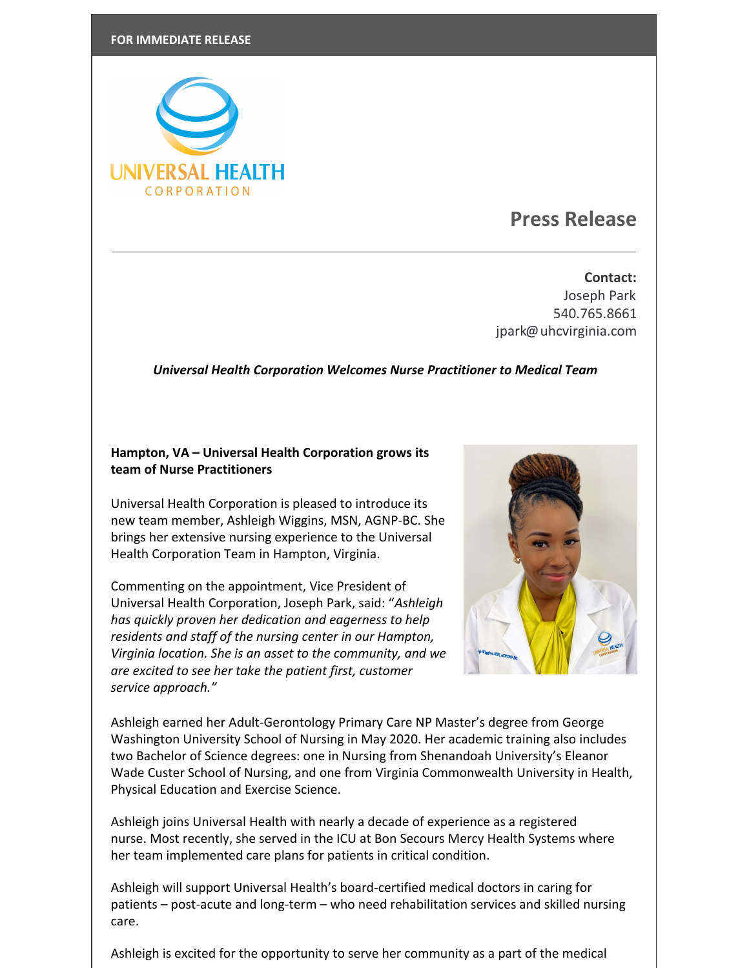

## **Press Release**

**Contact:** Joseph Park 540.765.8661 [jpark@uhcvirginia.com](mailto:jpark@uhcvirginia.com)

## *Universal Health Corporation Welcomes Nurse Practitioner to Medical Team*

## **Hampton, VA – Universal Health Corporation grows its team of Nurse Practitioners**

Universal Health Corporation is pleased to introduce its new team member, Ashleigh Wiggins, MSN, AGNP-BC. She brings her extensive nursing experience to the Universal Health Corporation Team in Hampton, Virginia.

Commenting on the appointment, Vice President of Universal Health Corporation, Joseph Park, said: "*Ashleigh has quickly proven her dedication and eagerness to help residents and staff of the nursing center in our Hampton, Virginia location. She is an asset to the community, and we are excited to see her take the patient first, customer service approach."*



Ashleigh earned her Adult-Gerontology Primary Care NP Master's degree from George Washington University School of Nursing in May 2020. Her academic training also includes two Bachelor of Science degrees: one in Nursing from Shenandoah University's Eleanor Wade Custer School of Nursing, and one from Virginia Commonwealth University in Health, Physical Education and Exercise Science.

Ashleigh joins Universal Health with nearly a decade of experience as a registered nurse. Most recently, she served in the ICU at Bon Secours Mercy Health Systems where her team implemented care plans for patients in critical condition.

Ashleigh will support Universal Health's board-certified medical doctors in caring for patients – post-acute and long-term – who need rehabilitation services and skilled nursing care.

Ashleigh is excited for the opportunity to serve her community as a part of the medical